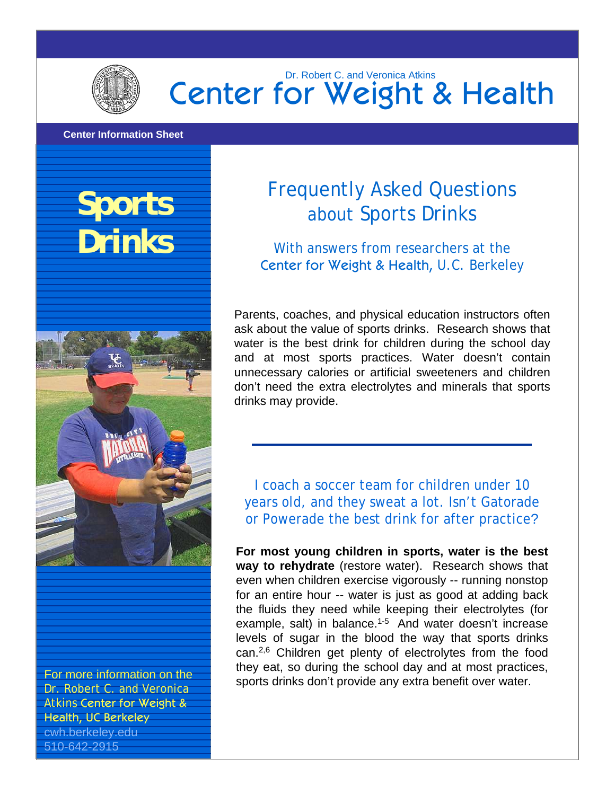

### Center for Weight & Health Dr. Robert C. and Veronica Atkins

#### **Center Information Sheet**

## **Sports Drinks**



For more information on the Dr. Robert C. and Veronica Atkins Center for Weight & Health, UC Berkeley cwh.berkeley.edu 510-642-2915

### Frequently Asked Questions about Sports Drinks

With answers from researchers at the Center for Weight & Health, U.C. Berkeley

Parents, coaches, and physical education instructors often ask about the value of sports drinks. Research shows that water is the best drink for children during the school day and at most sports practices. Water doesn't contain unnecessary calories or artificial sweeteners and children don't need the extra electrolytes and minerals that sports drinks may provide.

I coach a soccer team for children under 10 years old, and they sweat a lot. Isn't Gatorade or Powerade the best drink for after practice?

**For most young children in sports, water is the best way to rehydrate** (restore water). Research shows that even when children exercise vigorously -- running nonstop for an entire hour -- water is just as good at adding back the fluids they need while keeping their electrolytes (for example, salt) in balance.<sup>1-5</sup> And water doesn't increase levels of sugar in the blood the way that sports drinks can.2,6 Children get plenty of electrolytes from the food they eat, so during the school day and at most practices, sports drinks don't provide any extra benefit over water.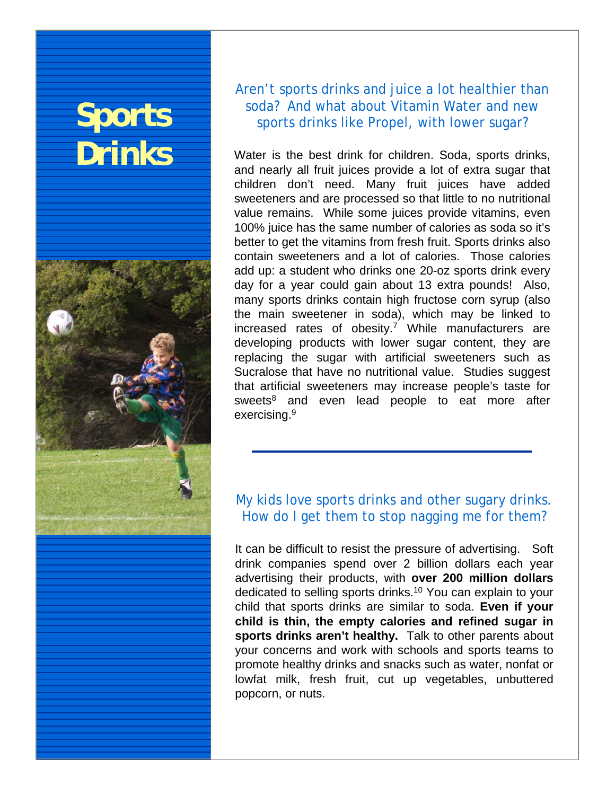# **Sports Drinks**



Aren't sports drinks and juice a lot healthier than soda? And what about Vitamin Water and new sports drinks like Propel, with lower sugar?

Water is the best drink for children. Soda, sports drinks, and nearly all fruit juices provide a lot of extra sugar that children don't need. Many fruit juices have added sweeteners and are processed so that little to no nutritional value remains. While some juices provide vitamins, even 100% juice has the same number of calories as soda so it's better to get the vitamins from fresh fruit. Sports drinks also contain sweeteners and a lot of calories. Those calories add up: a student who drinks one 20-oz sports drink every day for a year could gain about 13 extra pounds! Also, many sports drinks contain high fructose corn syrup (also the main sweetener in soda), which may be linked to increased rates of obesity.<sup>7</sup> While manufacturers are developing products with lower sugar content, they are replacing the sugar with artificial sweeteners such as Sucralose that have no nutritional value. Studies suggest that artificial sweeteners may increase people's taste for sweets<sup>8</sup> and even lead people to eat more after exercising.9

#### My kids love sports drinks and other sugary drinks. How do I get them to stop nagging me for them?

It can be difficult to resist the pressure of advertising. Soft drink companies spend over 2 billion dollars each year advertising their products, with **over 200 million dollars**  dedicated to selling sports drinks.10 You can explain to your child that sports drinks are similar to soda. **Even if your child is thin, the empty calories and refined sugar in sports drinks aren't healthy.** Talk to other parents about your concerns and work with schools and sports teams to promote healthy drinks and snacks such as water, nonfat or lowfat milk, fresh fruit, cut up vegetables, unbuttered popcorn, or nuts.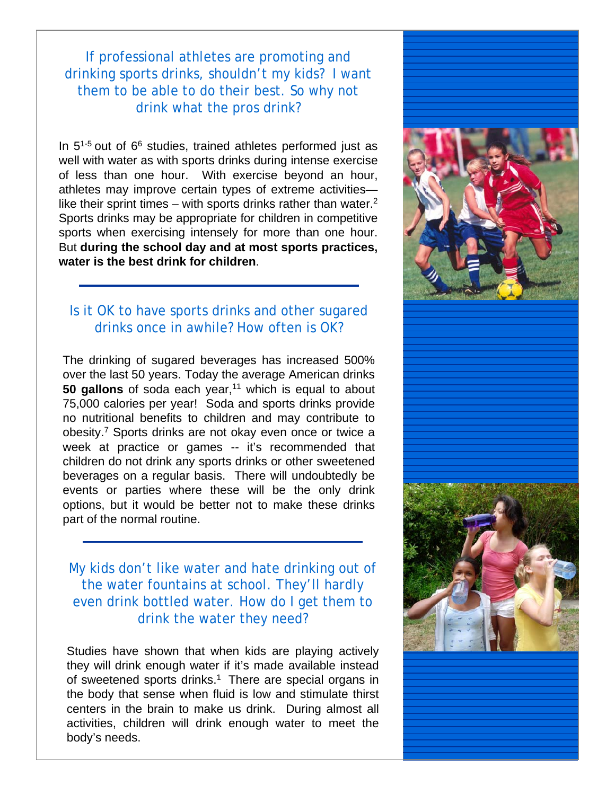If professional athletes are promoting and drinking sports drinks, shouldn't my kids? I want them to be able to do their best. So why not drink what the pros drink?

In  $5^{1-5}$  out of  $6^6$  studies, trained athletes performed just as well with water as with sports drinks during intense exercise of less than one hour. With exercise beyond an hour, athletes may improve certain types of extreme activities like their sprint times – with sports drinks rather than water. $<sup>2</sup>$ </sup> Sports drinks may be appropriate for children in competitive sports when exercising intensely for more than one hour. But **during the school day and at most sports practices, water is the best drink for children**.

#### Is it OK to have sports drinks and other sugared drinks once in awhile? How often is OK?

The drinking of sugared beverages has increased 500% over the last 50 years. Today the average American drinks **50 gallons** of soda each year,<sup>11</sup> which is equal to about 75,000 calories per year! Soda and sports drinks provide no nutritional benefits to children and may contribute to obesity.7 Sports drinks are not okay even once or twice a week at practice or games -- it's recommended that children do not drink any sports drinks or other sweetened beverages on a regular basis. There will undoubtedly be events or parties where these will be the only drink options, but it would be better not to make these drinks part of the normal routine.

My kids don't like water and hate drinking out of the water fountains at school. They'll hardly even drink bottled water. How do I get them to drink the water they need?

Studies have shown that when kids are playing actively they will drink enough water if it's made available instead of sweetened sports drinks.<sup>1</sup> There are special organs in the body that sense when fluid is low and stimulate thirst centers in the brain to make us drink. During almost all activities, children will drink enough water to meet the body's needs.

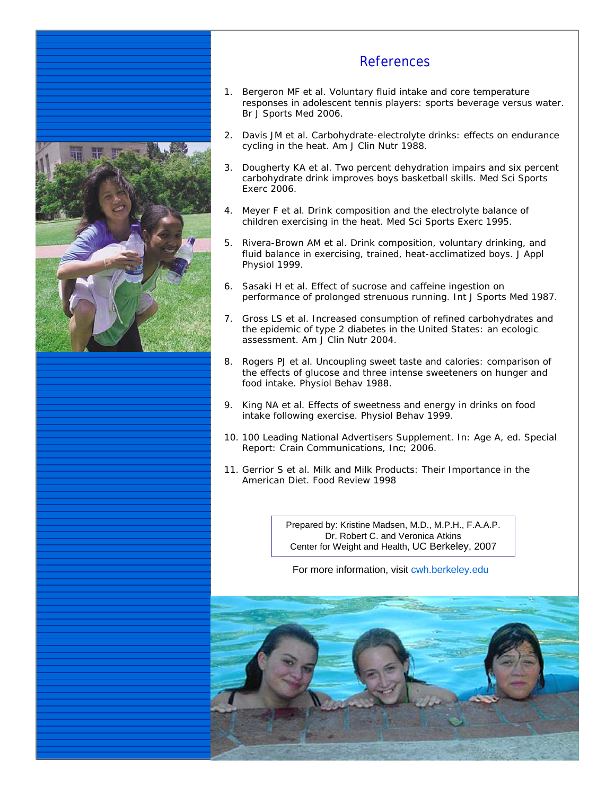

#### References

- 1. Bergeron MF et al. Voluntary fluid intake and core temperature responses in adolescent tennis players: sports beverage versus water. *Br J Sports Med* 2006.
- 2. Davis JM et al. Carbohydrate-electrolyte drinks: effects on endurance cycling in the heat. *Am J Clin Nutr* 1988.
- 3. Dougherty KA et al. Two percent dehydration impairs and six percent carbohydrate drink improves boys basketball skills. *Med Sci Sports Exerc* 2006.
- 4. Meyer F et al. Drink composition and the electrolyte balance of children exercising in the heat. *Med Sci Sports Exerc* 1995.
- 5. Rivera-Brown AM et al. Drink composition, voluntary drinking, and fluid balance in exercising, trained, heat-acclimatized boys. *J Appl Physiol* 1999.
- 6. Sasaki H et al. Effect of sucrose and caffeine ingestion on performance of prolonged strenuous running. *Int J Sports Med* 1987.
- 7. Gross LS et al. Increased consumption of refined carbohydrates and the epidemic of type 2 diabetes in the United States: an ecologic assessment. *Am J Clin Nutr* 2004.
- 8. Rogers PJ et al. Uncoupling sweet taste and calories: comparison of the effects of glucose and three intense sweeteners on hunger and food intake. *Physiol Behav* 1988.
- 9. King NA et al. Effects of sweetness and energy in drinks on food intake following exercise. *Physiol Behav* 1999.
- 10 . 100 Leading National Advertisers Supplement. In: Age A, ed. *Special Report*: Crain Communications, Inc; 2006.
- 11. Gerrior S et al. Milk and Milk Products: Their Importance in the American Diet. *Food Review* 1998

Prepared by: Kristine Madsen, M.D., M.P.H., F.A.A.P. Dr. Robert C. and Veronica Atkins Center for Weight and Health, UC Berkeley, 2007

For more information, visit cwh.berkeley.edu

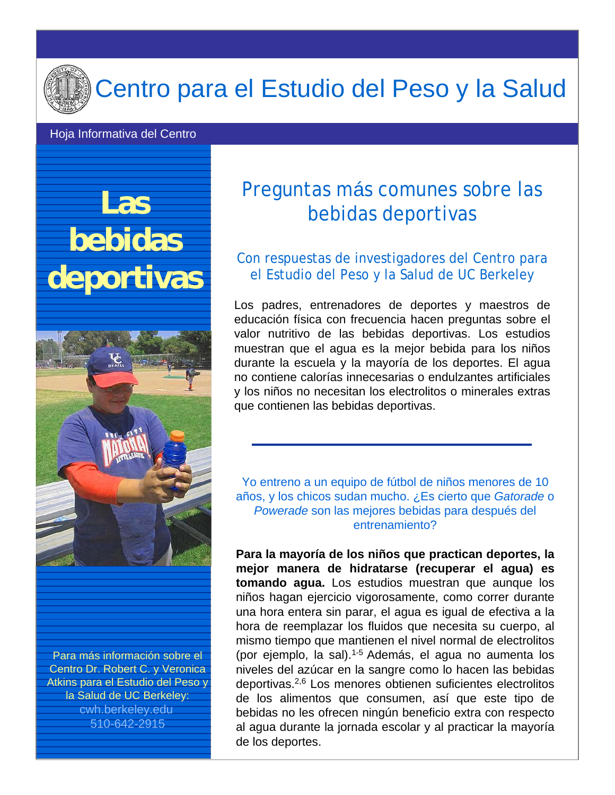

### Centro para el Estudio del Peso y la Salud

#### Hoja Informativa del Centro

## **Las bebidas deportivas**



Para más información sobre el Centro Dr. Robert C. y Veronica Atkins para el Estudio del Peso y la Salud de UC Berkeley: cwh.berkeley.edu 510-642-2915

### Preguntas más comunes sobre las bebidas deportivas

#### Con respuestas de investigadores del Centro para el Estudio del Peso y la Salud de UC Berkeley

Los padres, entrenadores de deportes y maestros de educación física con frecuencia hacen preguntas sobre el valor nutritivo de las bebidas deportivas. Los estudios muestran que el agua es la mejor bebida para los niños durante la escuela y la mayoría de los deportes. El agua no contiene calorías innecesarias o endulzantes artificiales y los niños no necesitan los electrolitos o minerales extras que contienen las bebidas deportivas.

Yo entreno a un equipo de fútbol de niños menores de 10 años, y los chicos sudan mucho. ¿Es cierto que *Gatorade* o *Powerade* son las mejores bebidas para después del entrenamiento?

**Para la mayoría de los niños que practican deportes, la mejor manera de hidratarse (recuperar el agua) es tomando agua.** Los estudios muestran que aunque los niños hagan ejercicio vigorosamente, como correr durante una hora entera sin parar, el agua es igual de efectiva a la hora de reemplazar los fluidos que necesita su cuerpo, al mismo tiempo que mantienen el nivel normal de electrolitos (por ejemplo, la sal).1-5 Además, el agua no aumenta los niveles del azúcar en la sangre como lo hacen las bebidas deportivas.2,6 Los menores obtienen suficientes electrolitos de los alimentos que consumen, así que este tipo de bebidas no les ofrecen ningún beneficio extra con respecto al agua durante la jornada escolar y al practicar la mayoría de los deportes.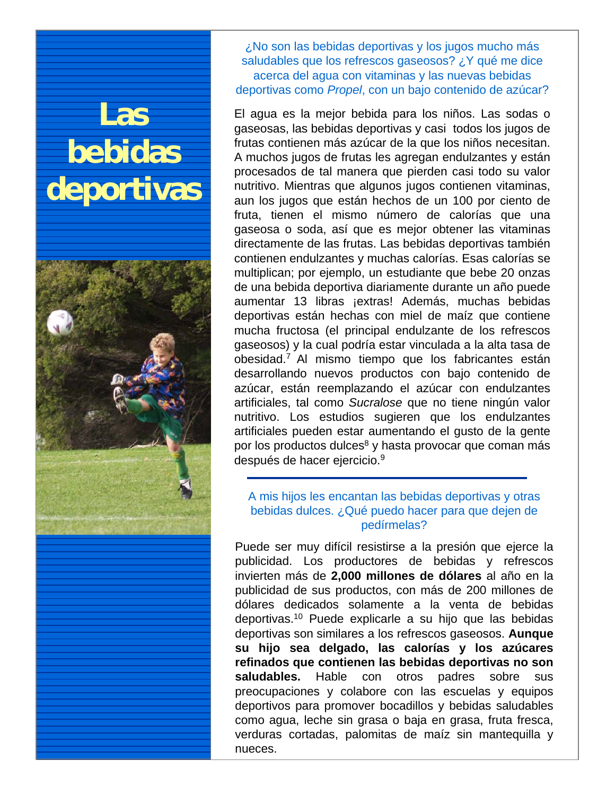## **Las bebidas deportivas**



¿No son las bebidas deportivas y los jugos mucho más saludables que los refrescos gaseosos? ¿Y qué me dice acerca del agua con vitaminas y las nuevas bebidas deportivas como *Propel*, con un bajo contenido de azúcar?

El agua es la mejor bebida para los niños. Las sodas o gaseosas, las bebidas deportivas y casi todos los jugos de frutas contienen más azúcar de la que los niños necesitan. A muchos jugos de frutas les agregan endulzantes y están procesados de tal manera que pierden casi todo su valor nutritivo. Mientras que algunos jugos contienen vitaminas, aun los jugos que están hechos de un 100 por ciento de fruta, tienen el mismo número de calorías que una gaseosa o soda, así que es mejor obtener las vitaminas directamente de las frutas. Las bebidas deportivas también contienen endulzantes y muchas calorías. Esas calorías se multiplican; por ejemplo, un estudiante que bebe 20 onzas de una bebida deportiva diariamente durante un año puede aumentar 13 libras ¡extras! Además, muchas bebidas deportivas están hechas con miel de maíz que contiene mucha fructosa (el principal endulzante de los refrescos gaseosos) y la cual podría estar vinculada a la alta tasa de obesidad.7 Al mismo tiempo que los fabricantes están desarrollando nuevos productos con bajo contenido de azúcar, están reemplazando el azúcar con endulzantes artificiales, tal como *Sucralose* que no tiene ningún valor nutritivo. Los estudios sugieren que los endulzantes artificiales pueden estar aumentando el gusto de la gente por los productos dulces<sup>8</sup> y hasta provocar que coman más después de hacer ejercicio.9

#### A mis hijos les encantan las bebidas deportivas y otras bebidas dulces. ¿Qué puedo hacer para que dejen de pedírmelas?

Puede ser muy difícil resistirse a la presión que ejerce la publicidad. Los productores de bebidas y refrescos invierten más de **2,000 millones de dólares** al año en la publicidad de sus productos, con más de 200 millones de dólares dedicados solamente a la venta de bebidas deportivas.10 Puede explicarle a su hijo que las bebidas deportivas son similares a los refrescos gaseosos. **Aunque su hijo sea delgado, las calorías y los azúcares refinados que contienen las bebidas deportivas no son saludables.** Hable con otros padres sobre sus preocupaciones y colabore con las escuelas y equipos deportivos para promover bocadillos y bebidas saludables como agua, leche sin grasa o baja en grasa, fruta fresca, verduras cortadas, palomitas de maíz sin mantequilla y nueces.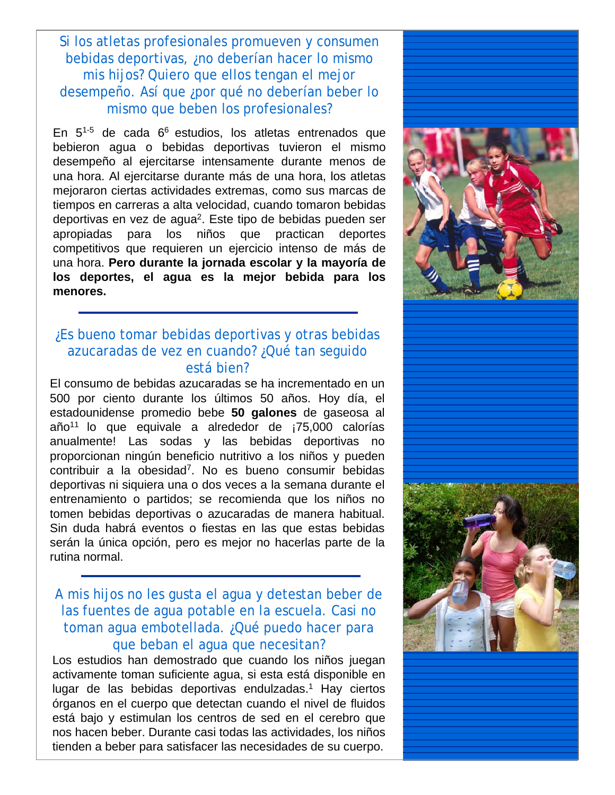Si los atletas profesionales promueven y consumen bebidas deportivas, ¿no deberían hacer lo mismo mis hijos? Quiero que ellos tengan el mejor desempeño. Así que ¿por qué no deberían beber lo mismo que beben los profesionales?

En  $5^{1-5}$  de cada  $6^6$  estudios, los atletas entrenados que bebieron agua o bebidas deportivas tuvieron el mismo desempeño al ejercitarse intensamente durante menos de una hora. Al ejercitarse durante más de una hora, los atletas mejoraron ciertas actividades extremas, como sus marcas de tiempos en carreras a alta velocidad, cuando tomaron bebidas deportivas en vez de agua2. Este tipo de bebidas pueden ser apropiadas para los niños que practican deportes competitivos que requieren un ejercicio intenso de más de una hora. **Pero durante la jornada escolar y la mayoría de los deportes, el agua es la mejor bebida para los menores.**

#### ¿Es bueno tomar bebidas deportivas y otras bebidas azucaradas de vez en cuando? ¿Qué tan seguido está bien?

El consumo de bebidas azucaradas se ha incrementado en un 500 por ciento durante los últimos 50 años. Hoy día, el estadounidense promedio bebe **50 galones** de gaseosa al  $a\tilde{p}$ <sup>11</sup> lo que equivale a alrededor de  $i$ 75,000 calorías anualmente! Las sodas y las bebidas deportivas no proporcionan ningún beneficio nutritivo a los niños y pueden contribuir a la obesidad7. No es bueno consumir bebidas deportivas ni siquiera una o dos veces a la semana durante el entrenamiento o partidos; se recomienda que los niños no tomen bebidas deportivas o azucaradas de manera habitual. Sin duda habrá eventos o fiestas en las que estas bebidas serán la única opción, pero es mejor no hacerlas parte de la rutina normal.

#### A mis hijos no les gusta el agua y detestan beber de las fuentes de agua potable en la escuela. Casi no toman agua embotellada. ¿Qué puedo hacer para que beban el agua que necesitan?

Los estudios han demostrado que cuando los niños juegan activamente toman suficiente agua, si esta está disponible en lugar de las bebidas deportivas endulzadas.<sup>1</sup> Hay ciertos órganos en el cuerpo que detectan cuando el nivel de fluidos está bajo y estimulan los centros de sed en el cerebro que nos hacen beber. Durante casi todas las actividades, los niños tienden a beber para satisfacer las necesidades de su cuerpo.